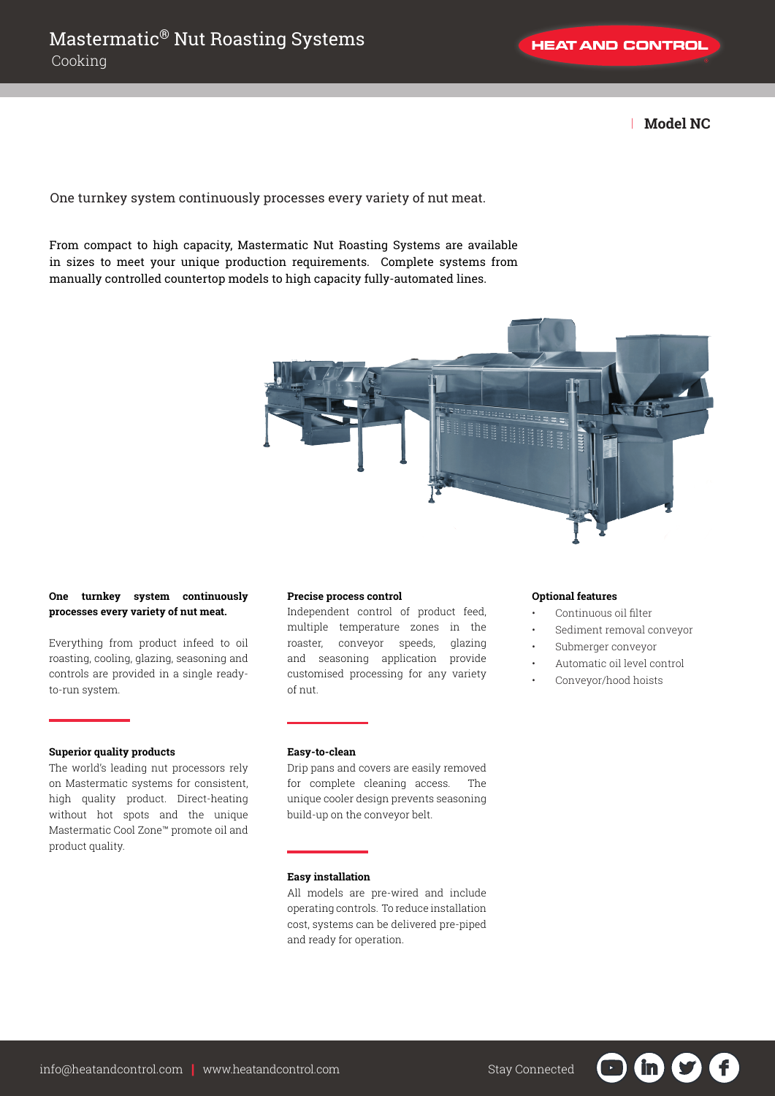**HEAT AND CONTROL** 

| **Model NC**

One turnkey system continuously processes every variety of nut meat.

From compact to high capacity, Mastermatic Nut Roasting Systems are available in sizes to meet your unique production requirements. Complete systems from manually controlled countertop models to high capacity fully-automated lines.



## **One turnkey system continuously processes every variety of nut meat.**

Everything from product infeed to oil roasting, cooling, glazing, seasoning and controls are provided in a single readyto-run system.

## **Superior quality products**

The world's leading nut processors rely on Mastermatic systems for consistent, high quality product. Direct-heating without hot spots and the unique Mastermatic Cool Zone™ promote oil and product quality.

## **Precise process control**

Independent control of product feed, multiple temperature zones in the roaster, conveyor speeds, glazing and seasoning application provide customised processing for any variety of nut.

#### **Easy-to-clean**

Drip pans and covers are easily removed for complete cleaning access. The unique cooler design prevents seasoning build-up on the conveyor belt.

# **Easy installation**

All models are pre-wired and include operating controls. To reduce installation cost, systems can be delivered pre-piped and ready for operation.

#### **Optional features**

- Continuous oil filter
- Sediment removal conveyor
- Submerger conveyor
- Automatic oil level control
- Conveyor/hood hoists

in in